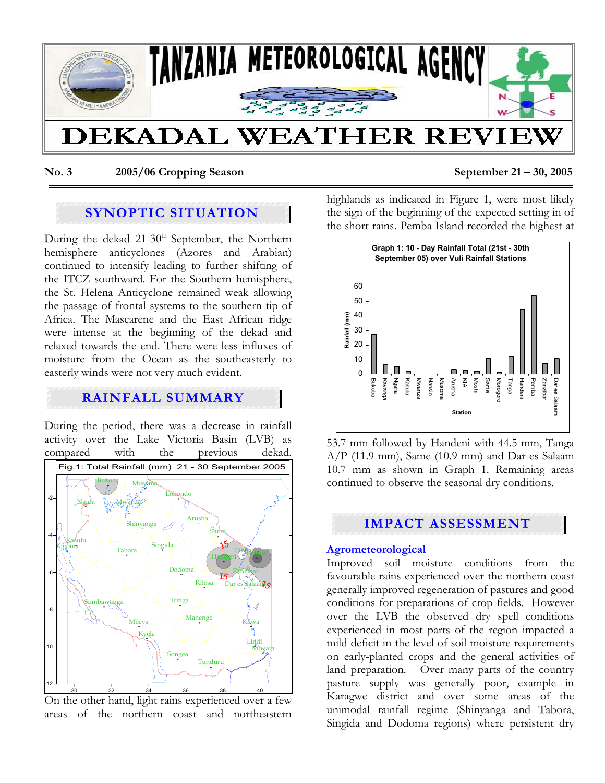

**No. 3 2005/06 Cropping Season September 21 – 30, 2005** 

# **SYNOPTIC SITUATION**

During the dekad  $21-30<sup>th</sup>$  September, the Northern hemisphere anticyclones (Azores and Arabian) continued to intensify leading to further shifting of the ITCZ southward. For the Southern hemisphere, the St. Helena Anticyclone remained weak allowing the passage of frontal systems to the southern tip of Africa. The Mascarene and the East African ridge were intense at the beginning of the dekad and relaxed towards the end. There were less influxes of moisture from the Ocean as the southeasterly to easterly winds were not very much evident.

# **RAINFALL SUMMARY**

During the period, there was a decrease in rainfall activity over the Lake Victoria Basin (LVB) as compared with the previous dekad.





highlands as indicated in Figure 1, were most likely the sign of the beginning of the expected setting in of the short rains. Pemba Island recorded the highest at



53.7 mm followed by Handeni with 44.5 mm, Tanga A/P (11.9 mm), Same (10.9 mm) and Dar-es-Salaam 10.7 mm as shown in Graph 1. Remaining areas continued to observe the seasonal dry conditions.

## **IMPACT ASSESSMENT**

## **Agrometeorological**

Improved soil moisture conditions from the favourable rains experienced over the northern coast generally improved regeneration of pastures and good conditions for preparations of crop fields. However over the LVB the observed dry spell conditions experienced in most parts of the region impacted a mild deficit in the level of soil moisture requirements on early-planted crops and the general activities of land preparation. Over many parts of the country pasture supply was generally poor, example in Karagwe district and over some areas of the unimodal rainfall regime (Shinyanga and Tabora, Singida and Dodoma regions) where persistent dry